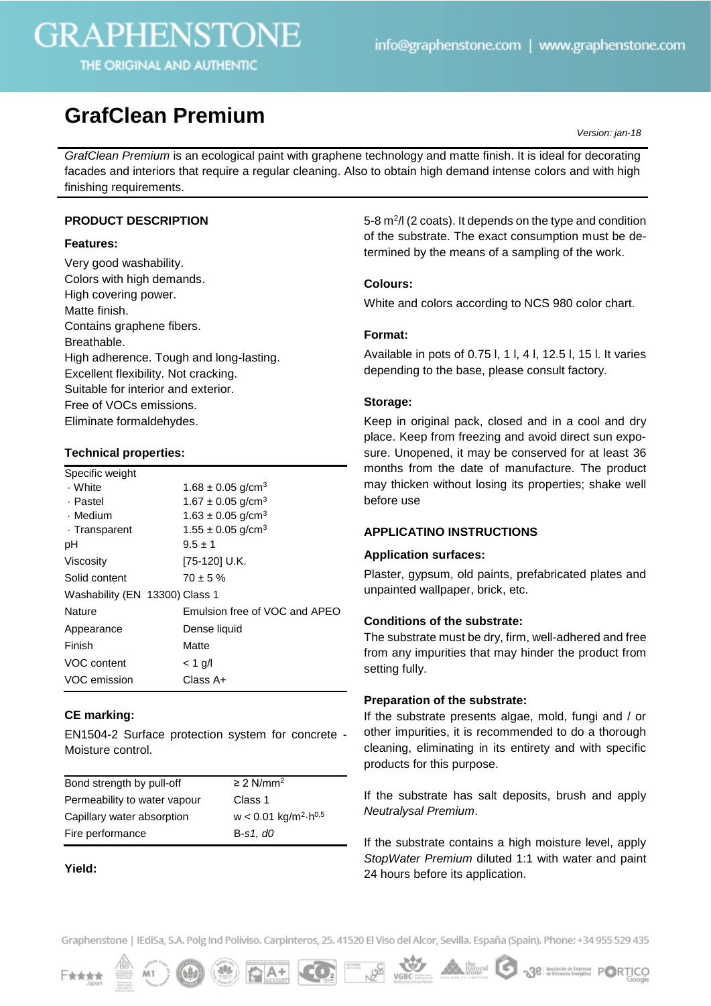# **GRAPHENSTONE**

THE ORIGINAL AND AUTHENTIC

# **GrafClean Premium**

*Version: jan-18*

*GrafClean Premium* is an ecological paint with graphene technology and matte finish. It is ideal for decorating facades and interiors that require a regular cleaning. Also to obtain high demand intense colors and with high finishing requirements.

# **PRODUCT DESCRIPTION**

### **Features:**

Very good washability. Colors with high demands. High covering power. Matte finish. Contains graphene fibers. Breathable. High adherence. Tough and long-lasting. Excellent flexibility. Not cracking. Suitable for interior and exterior. Free of VOCs emissions. Eliminate formaldehydes.

# **Technical properties:**

| Specific weight                |                                   |
|--------------------------------|-----------------------------------|
| . White                        | $1.68 \pm 0.05$ g/cm <sup>3</sup> |
| . Pastel                       | $1.67 \pm 0.05$ g/cm <sup>3</sup> |
| · Medium                       | $1.63 \pm 0.05$ g/cm <sup>3</sup> |
| · Transparent                  | $1.55 \pm 0.05$ g/cm <sup>3</sup> |
| рH                             | $9.5 \pm 1$                       |
| Viscosity                      | [75-120] U.K.                     |
| Solid content                  | $70 \pm 5 \%$                     |
| Washability (EN 13300) Class 1 |                                   |
| Nature                         | Emulsion free of VOC and APEO     |
| Appearance                     | Dense liquid                      |
| Finish                         | Matte                             |
| VOC content                    | $<$ 1 g/l                         |
| VOC emission                   | Class A+                          |

### **CE marking:**

EN1504-2 Surface protection system for concrete - Moisture control.

| Bond strength by pull-off    | $\geq$ 2 N/mm <sup>2</sup>                            |
|------------------------------|-------------------------------------------------------|
| Permeability to water vapour | Class 1                                               |
| Capillary water absorption   | $w < 0.01$ kg/m <sup>2</sup> $\cdot$ h <sup>0,5</sup> |
| Fire performance             | $B-s1, d0$                                            |
|                              |                                                       |

### **Yield:**

5-8 m<sup>2</sup>/l (2 coats). It depends on the type and condition of the substrate. The exact consumption must be determined by the means of a sampling of the work.

### **Colours:**

White and colors according to NCS 980 color chart.

### **Format:**

Available in pots of 0.75 l, 1 l, 4 l, 12.5 l, 15 l. It varies depending to the base, please consult factory.

### **Storage:**

Keep in original pack, closed and in a cool and dry place. Keep from freezing and avoid direct sun exposure. Unopened, it may be conserved for at least 36 months from the date of manufacture. The product may thicken without losing its properties; shake well before use

### **APPLICATINO INSTRUCTIONS**

#### **Application surfaces:**

Plaster, gypsum, old paints, prefabricated plates and unpainted wallpaper, brick, etc.

### **Conditions of the substrate:**

The substrate must be dry, firm, well-adhered and free from any impurities that may hinder the product from setting fully.

### **Preparation of the substrate:**

If the substrate presents algae, mold, fungi and / or other impurities, it is recommended to do a thorough cleaning, eliminating in its entirety and with specific products for this purpose.

If the substrate has salt deposits, brush and apply *Neutralysal Premium*.

If the substrate contains a high moisture level, apply *StopWater Premium* diluted 1:1 with water and paint 24 hours before its application.

Graphenstone | IEdiSa, S.A. Polg Ind Poliviso. Carpinteros, 25. 41520 El Viso del Alcor, Sevilla. España (Spain). Phone: +34 955 529 435







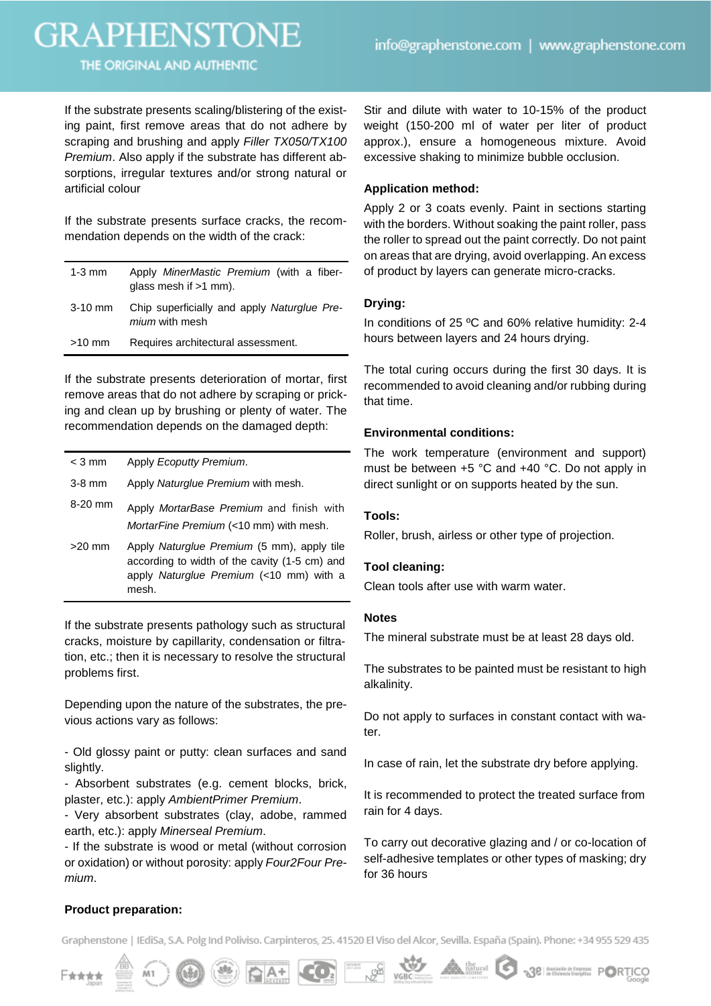# **GRAPHENSTONE**

THE ORIGINAL AND AUTHENTIC

If the substrate presents scaling/blistering of the existing paint, first remove areas that do not adhere by scraping and brushing and apply *Filler TX050/TX100 Premium*. Also apply if the substrate has different absorptions, irregular textures and/or strong natural or artificial colour

If the substrate presents surface cracks, the recommendation depends on the width of the crack:

| $1-3$ mm  | Apply MinerMastic Premium (with a fiber-<br>glass mesh if $>1$ mm).  |
|-----------|----------------------------------------------------------------------|
| $3-10$ mm | Chip superficially and apply Naturglue Pre-<br><i>mium</i> with mesh |
| $>10$ mm  | Requires architectural assessment.                                   |

If the substrate presents deterioration of mortar, first remove areas that do not adhere by scraping or pricking and clean up by brushing or plenty of water. The recommendation depends on the damaged depth:

| $<$ 3 mm | Apply Ecoputty Premium.                                                                                                                         |
|----------|-------------------------------------------------------------------------------------------------------------------------------------------------|
| $3-8$ mm | Apply Naturglue Premium with mesh.                                                                                                              |
| 8-20 mm  | Apply MortarBase Premium and finish with<br>MortarFine Premium (<10 mm) with mesh.                                                              |
| $>20$ mm | Apply Naturglue Premium (5 mm), apply tile<br>according to width of the cavity (1-5 cm) and<br>apply Naturglue Premium (<10 mm) with a<br>mesh. |

If the substrate presents pathology such as structural cracks, moisture by capillarity, condensation or filtration, etc.; then it is necessary to resolve the structural problems first.

Depending upon the nature of the substrates, the previous actions vary as follows:

- Old glossy paint or putty: clean surfaces and sand slightly.

- Absorbent substrates (e.g. cement blocks, brick, plaster, etc.): apply *AmbientPrimer Premium*.

- Very absorbent substrates (clay, adobe, rammed earth, etc.): apply *Minerseal Premium*.

- If the substrate is wood or metal (without corrosion or oxidation) or without porosity: apply *Four2Four Premium*.

Stir and dilute with water to 10-15% of the product weight (150-200 ml of water per liter of product approx.), ensure a homogeneous mixture. Avoid excessive shaking to minimize bubble occlusion.

# **Application method:**

Apply 2 or 3 coats evenly. Paint in sections starting with the borders. Without soaking the paint roller, pass the roller to spread out the paint correctly. Do not paint on areas that are drying, avoid overlapping. An excess of product by layers can generate micro-cracks.

# **Drying:**

In conditions of 25 ºC and 60% relative humidity: 2-4 hours between layers and 24 hours drying.

The total curing occurs during the first 30 days. It is recommended to avoid cleaning and/or rubbing during that time.

# **Environmental conditions:**

The work temperature (environment and support) must be between +5 °C and +40 °C. Do not apply in direct sunlight or on supports heated by the sun.

### **Tools:**

Roller, brush, airless or other type of projection.

# **Tool cleaning:**

Clean tools after use with warm water.

### **Notes**

The mineral substrate must be at least 28 days old.

The substrates to be painted must be resistant to high alkalinity.

Do not apply to surfaces in constant contact with water.

In case of rain, let the substrate dry before applying.

It is recommended to protect the treated surface from rain for 4 days.

To carry out decorative glazing and / or co-location of self-adhesive templates or other types of masking; dry for 36 hours

# **Product preparation:**

Graphenstone | IEdiSa, S.A. Polg Ind Poliviso. Carpinteros, 25. 41520 El Viso del Alcor, Sevilla. España (Spain). Phone: +34 955 529 435